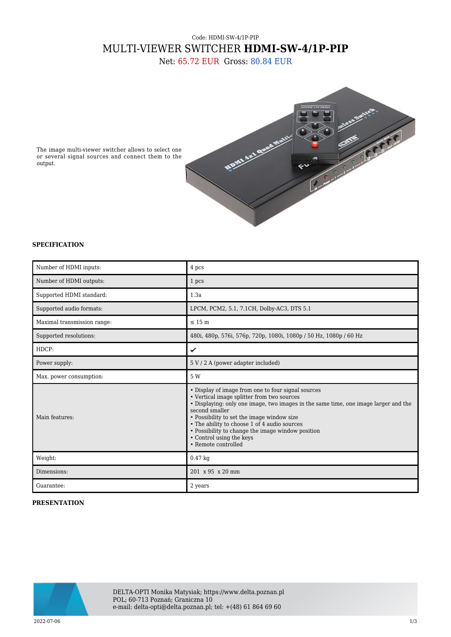## Code: HDMI-SW-4/1P-PIP MULTI-VIEWER SWITCHER **HDMI-SW-4/1P-PIP**

Net: 65.72 EUR Gross: 80.84 EUR



The image multi-viewer switcher allows to select one or several signal sources and connect them to the output.

## **SPECIFICATION**

| Number of HDMI inputs:      | 4 pcs                                                                                                                                                                                                                                                                                                                                                                                                           |
|-----------------------------|-----------------------------------------------------------------------------------------------------------------------------------------------------------------------------------------------------------------------------------------------------------------------------------------------------------------------------------------------------------------------------------------------------------------|
| Number of HDMI outputs:     | 1 pcs                                                                                                                                                                                                                                                                                                                                                                                                           |
| Supported HDMI standard:    | 1.3a                                                                                                                                                                                                                                                                                                                                                                                                            |
| Supported audio formats:    | LPCM, PCM2, 5.1, 7.1CH, Dolby-AC3, DTS 5.1                                                                                                                                                                                                                                                                                                                                                                      |
| Maximal transmission range: | $\leq 15 \text{ m}$                                                                                                                                                                                                                                                                                                                                                                                             |
| Supported resolutions:      | 480i, 480p, 576i, 576p, 720p, 1080i, 1080p / 50 Hz, 1080p / 60 Hz                                                                                                                                                                                                                                                                                                                                               |
| HDCP:                       | ✓                                                                                                                                                                                                                                                                                                                                                                                                               |
| Power supply:               | 5 V / 2 A (power adapter included)                                                                                                                                                                                                                                                                                                                                                                              |
| Max. power consumption:     | 5 W                                                                                                                                                                                                                                                                                                                                                                                                             |
| Main features:              | • Display of image from one to four signal sources<br>• Vertical image splitter from two sources<br>• Displaying: only one image, two images in the same time, one image larger and the<br>second smaller<br>• Possibility to set the image window size<br>• The ability to choose 1 of 4 audio sources<br>• Possibility to change the image window position<br>• Control using the keys<br>• Remote controlled |
| Weight:                     | $0.47$ kg                                                                                                                                                                                                                                                                                                                                                                                                       |
| Dimensions:                 | 201 x 95 x 20 mm                                                                                                                                                                                                                                                                                                                                                                                                |
| Guarantee:                  | 2 years                                                                                                                                                                                                                                                                                                                                                                                                         |

## **PRESENTATION**

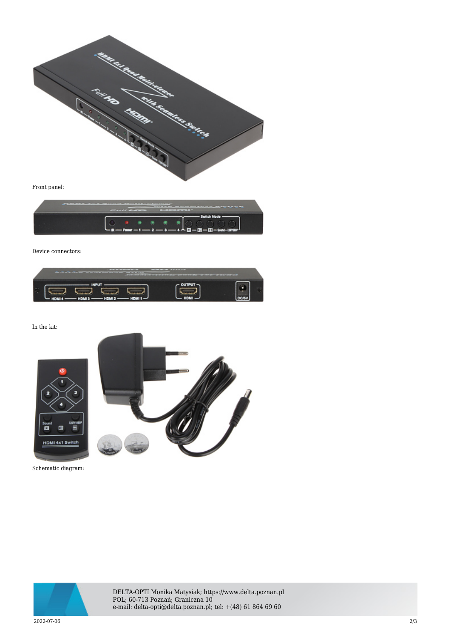

Front panel:



Device connectors:



In the kit:





Schematic diagram:



DELTA-OPTI Monika Matysiak; https://www.delta.poznan.pl POL; 60-713 Poznań; Graniczna 10 e-mail: delta-opti@delta.poznan.pl; tel: +(48) 61 864 69 60

2022-07-06 2/3